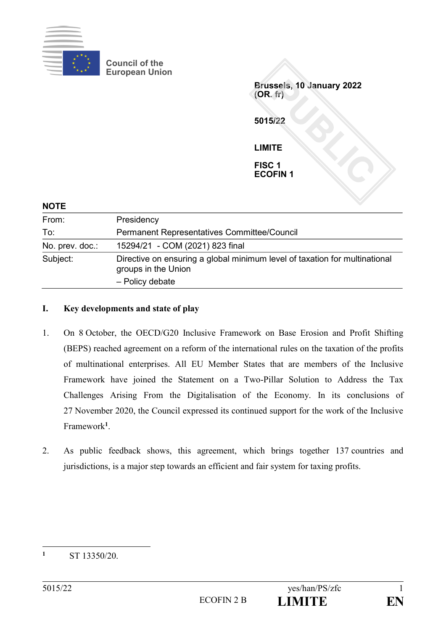

**Council of the European Union**

**Brussels, 10 January 2022 (OR. fr) 5015/22 LIMITE FISC 1 ECOFIN 1**

| Presidency                                                                                                           |
|----------------------------------------------------------------------------------------------------------------------|
| Permanent Representatives Committee/Council                                                                          |
| 15294/21 - COM (2021) 823 final                                                                                      |
| Directive on ensuring a global minimum level of taxation for multinational<br>groups in the Union<br>- Policy debate |
|                                                                                                                      |

## **I. Key developments and state of play**

- 1. On 8 October, the OECD/G20 Inclusive Framework on Base Erosion and Profit Shifting (BEPS) reached agreement on a reform of the international rules on the taxation of the profits of multinational enterprises. All EU Member States that are members of the Inclusive Framework have joined the Statement on a Two-Pillar Solution to Address the Tax Challenges Arising From the Digitalisation of the Economy. In its conclusions of 27 November 2020, the Council expressed its continued support for the work of the Inclusive Framework**<sup>1</sup>** .
- 2. As public feedback shows, this agreement, which brings together 137 countries and jurisdictions, is a major step towards an efficient and fair system for taxing profits.

 $\mathbf{1}$ **<sup>1</sup>** ST 13350/20.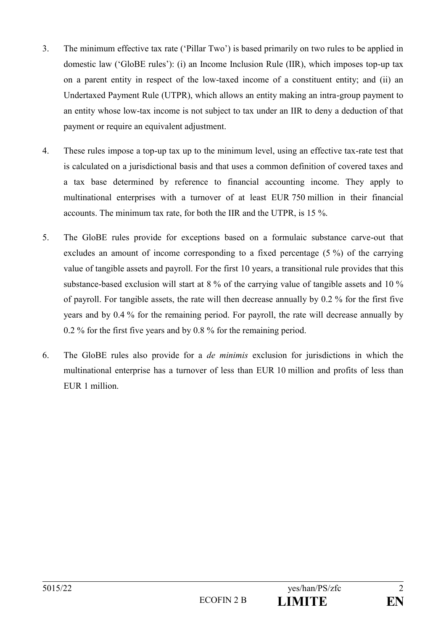- 3. The minimum effective tax rate ('Pillar Two') is based primarily on two rules to be applied in domestic law ('GloBE rules'): (i) an Income Inclusion Rule (IIR), which imposes top-up tax on a parent entity in respect of the low-taxed income of a constituent entity; and (ii) an Undertaxed Payment Rule (UTPR), which allows an entity making an intra-group payment to an entity whose low-tax income is not subject to tax under an IIR to deny a deduction of that payment or require an equivalent adjustment.
- 4. These rules impose a top-up tax up to the minimum level, using an effective tax-rate test that is calculated on a jurisdictional basis and that uses a common definition of covered taxes and a tax base determined by reference to financial accounting income. They apply to multinational enterprises with a turnover of at least EUR 750 million in their financial accounts. The minimum tax rate, for both the IIR and the UTPR, is 15 %.
- 5. The GloBE rules provide for exceptions based on a formulaic substance carve-out that excludes an amount of income corresponding to a fixed percentage (5 %) of the carrying value of tangible assets and payroll. For the first 10 years, a transitional rule provides that this substance-based exclusion will start at 8 % of the carrying value of tangible assets and 10 % of payroll. For tangible assets, the rate will then decrease annually by 0.2 % for the first five years and by 0.4 % for the remaining period. For payroll, the rate will decrease annually by 0.2 % for the first five years and by 0.8 % for the remaining period.
- 6. The GloBE rules also provide for a *de minimis* exclusion for jurisdictions in which the multinational enterprise has a turnover of less than EUR 10 million and profits of less than EUR 1 million.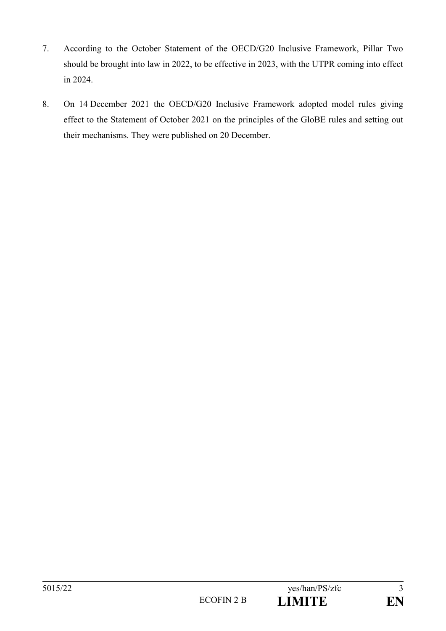- 7. According to the October Statement of the OECD/G20 Inclusive Framework, Pillar Two should be brought into law in 2022, to be effective in 2023, with the UTPR coming into effect in 2024.
- 8. On 14 December 2021 the OECD/G20 Inclusive Framework adopted model rules giving effect to the Statement of October 2021 on the principles of the GloBE rules and setting out their mechanisms. They were published on 20 December.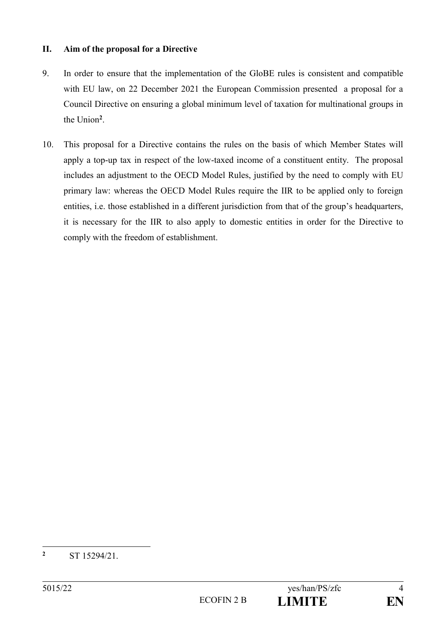## **II. Aim of the proposal for a Directive**

- 9. In order to ensure that the implementation of the GloBE rules is consistent and compatible with EU law, on 22 December 2021 the European Commission presented a proposal for a Council Directive on ensuring a global minimum level of taxation for multinational groups in the Union**<sup>2</sup>** .
- 10. This proposal for a Directive contains the rules on the basis of which Member States will apply a top-up tax in respect of the low-taxed income of a constituent entity. The proposal includes an adjustment to the OECD Model Rules, justified by the need to comply with EU primary law: whereas the OECD Model Rules require the IIR to be applied only to foreign entities, i.e. those established in a different jurisdiction from that of the group's headquarters, it is necessary for the IIR to also apply to domestic entities in order for the Directive to comply with the freedom of establishment.

 $\overline{2}$ **<sup>2</sup>** ST 15294/21.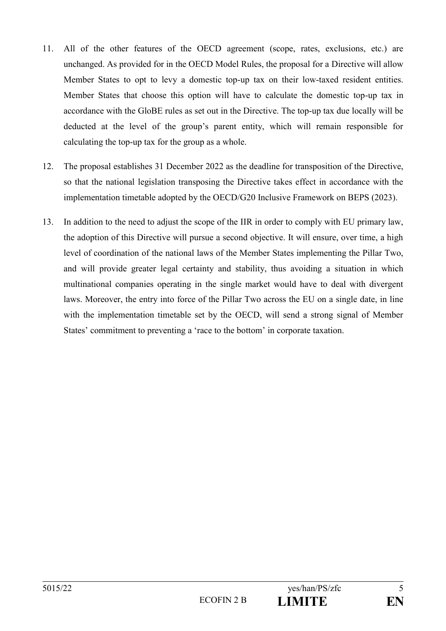- 11. All of the other features of the OECD agreement (scope, rates, exclusions, etc.) are unchanged. As provided for in the OECD Model Rules, the proposal for a Directive will allow Member States to opt to levy a domestic top-up tax on their low-taxed resident entities. Member States that choose this option will have to calculate the domestic top-up tax in accordance with the GloBE rules as set out in the Directive. The top-up tax due locally will be deducted at the level of the group's parent entity, which will remain responsible for calculating the top-up tax for the group as a whole.
- 12. The proposal establishes 31 December 2022 as the deadline for transposition of the Directive, so that the national legislation transposing the Directive takes effect in accordance with the implementation timetable adopted by the OECD/G20 Inclusive Framework on BEPS (2023).
- 13. In addition to the need to adjust the scope of the IIR in order to comply with EU primary law, the adoption of this Directive will pursue a second objective. It will ensure, over time, a high level of coordination of the national laws of the Member States implementing the Pillar Two, and will provide greater legal certainty and stability, thus avoiding a situation in which multinational companies operating in the single market would have to deal with divergent laws. Moreover, the entry into force of the Pillar Two across the EU on a single date, in line with the implementation timetable set by the OECD, will send a strong signal of Member States' commitment to preventing a 'race to the bottom' in corporate taxation.